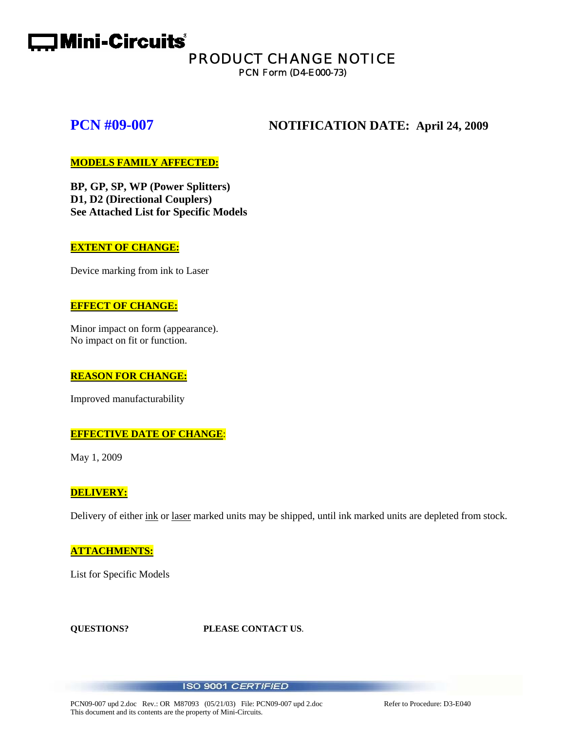# **Complete:** Mini-Circuits<sup>®</sup>

# PRODUCT CHANGE NOTICE

PCN Form (D4-E000-73)

### **PCN #09-007** NOTIFICATION DATE: April 24, 2009

### **MODELS FAMILY AFFECTED:**

**BP, GP, SP, WP (Power Splitters) D1, D2 (Directional Couplers) See Attached List for Specific Models** 

#### **EXTENT OF CHANGE:**

Device marking from ink to Laser

#### **EFFECT OF CHANGE:**

Minor impact on form (appearance). No impact on fit or function.

#### **REASON FOR CHANGE:**

Improved manufacturability

#### **EFFECTIVE DATE OF CHANGE**:

May 1, 2009

#### **DELIVERY:**

Delivery of either ink or laser marked units may be shipped, until ink marked units are depleted from stock.

#### **ATTACHMENTS:**

List for Specific Models

**QUESTIONS? PLEASE CONTACT US**.

#### ISO 9001 CERTIFIED

PCN09-007 upd 2.doc Rev.: OR M87093 (05/21/03) File: PCN09-007 upd 2.doc Refer to Procedure: D3-E040 This document and its contents are the property of Mini-Circuits.